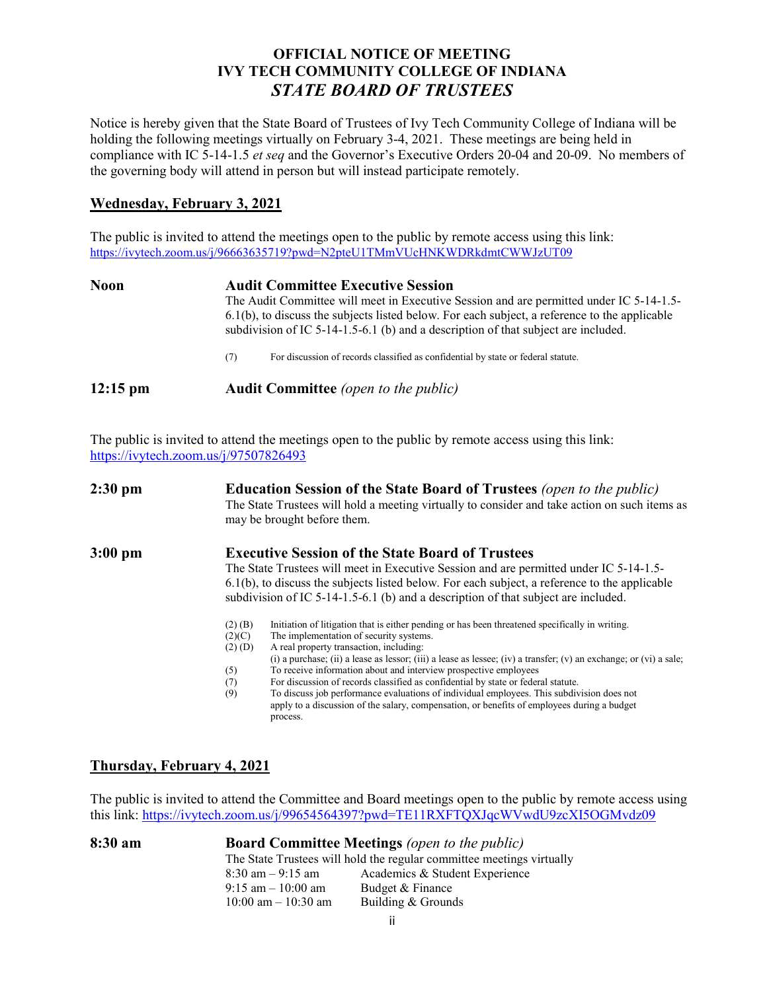## **OFFICIAL NOTICE OF MEETING IVY TECH COMMUNITY COLLEGE OF INDIANA** *STATE BOARD OF TRUSTEES*

Notice is hereby given that the State Board of Trustees of Ivy Tech Community College of Indiana will be holding the following meetings virtually on February 3-4, 2021. These meetings are being held in compliance with IC 5-14-1.5 *et seq* and the Governor's Executive Orders 20-04 and 20-09. No members of the governing body will attend in person but will instead participate remotely.

## **Wednesday, February 3, 2021**

The public is invited to attend the meetings open to the public by remote access using this link: <https://ivytech.zoom.us/j/96663635719?pwd=N2pteU1TMmVUcHNKWDRkdmtCWWJzUT09>

| Noon               | <b>Audit Committee Executive Session</b><br>The Audit Committee will meet in Executive Session and are permitted under IC 5-14-1.5-<br>6.1(b), to discuss the subjects listed below. For each subject, a reference to the applicable<br>subdivision of IC 5-14-1.5-6.1 (b) and a description of that subject are included. |  |  |
|--------------------|----------------------------------------------------------------------------------------------------------------------------------------------------------------------------------------------------------------------------------------------------------------------------------------------------------------------------|--|--|
|                    | For discussion of records classified as confidential by state or federal statute.<br>(7)                                                                                                                                                                                                                                   |  |  |
| $12:15 \text{ pm}$ | <b>Audit Committee</b> (open to the public)                                                                                                                                                                                                                                                                                |  |  |

The public is invited to attend the meetings open to the public by remote access using this link: <https://ivytech.zoom.us/j/97507826493>

| $2:30$ pm | <b>Education Session of the State Board of Trustees</b> (open to the public)<br>The State Trustees will hold a meeting virtually to consider and take action on such items as<br>may be brought before them.                                                                                                                                                                                                                                                                                                                                                                                                          |  |
|-----------|-----------------------------------------------------------------------------------------------------------------------------------------------------------------------------------------------------------------------------------------------------------------------------------------------------------------------------------------------------------------------------------------------------------------------------------------------------------------------------------------------------------------------------------------------------------------------------------------------------------------------|--|
| $3:00$ pm | <b>Executive Session of the State Board of Trustees</b><br>The State Trustees will meet in Executive Session and are permitted under IC 5-14-1.5-<br>6.1(b), to discuss the subjects listed below. For each subject, a reference to the applicable<br>subdivision of IC 5-14-1.5-6.1 (b) and a description of that subject are included.<br>Initiation of litigation that is either pending or has been threatened specifically in writing.<br>$(2)$ (B)                                                                                                                                                              |  |
|           | The implementation of security systems.<br>(2)(C)<br>A real property transaction, including:<br>$(2)$ (D)<br>(i) a purchase; (ii) a lease as lessor; (iii) a lease as lessee; (iv) a transfer; (v) an exchange; or (vi) a sale;<br>To receive information about and interview prospective employees<br>(5)<br>For discussion of records classified as confidential by state or federal statute.<br>(7)<br>To discuss job performance evaluations of individual employees. This subdivision does not<br>(9)<br>apply to a discussion of the salary, compensation, or benefits of employees during a budget<br>process. |  |

## **Thursday, February 4, 2021**

The public is invited to attend the Committee and Board meetings open to the public by remote access using this link:<https://ivytech.zoom.us/j/99654564397?pwd=TE11RXFTQXJqcWVwdU9zcXI5OGMvdz09>

| 8:30 am |                                                                       | <b>Board Committee Meetings</b> (open to the public) |  |
|---------|-----------------------------------------------------------------------|------------------------------------------------------|--|
|         | The State Trustees will hold the regular committee meetings virtually |                                                      |  |
|         | $8:30 \text{ am} - 9:15 \text{ am}$                                   | Academics & Student Experience                       |  |
|         | $9:15$ am $-10:00$ am                                                 | Budget & Finance                                     |  |
|         | $10:00$ am $- 10:30$ am                                               | Building & Grounds                                   |  |
|         |                                                                       |                                                      |  |